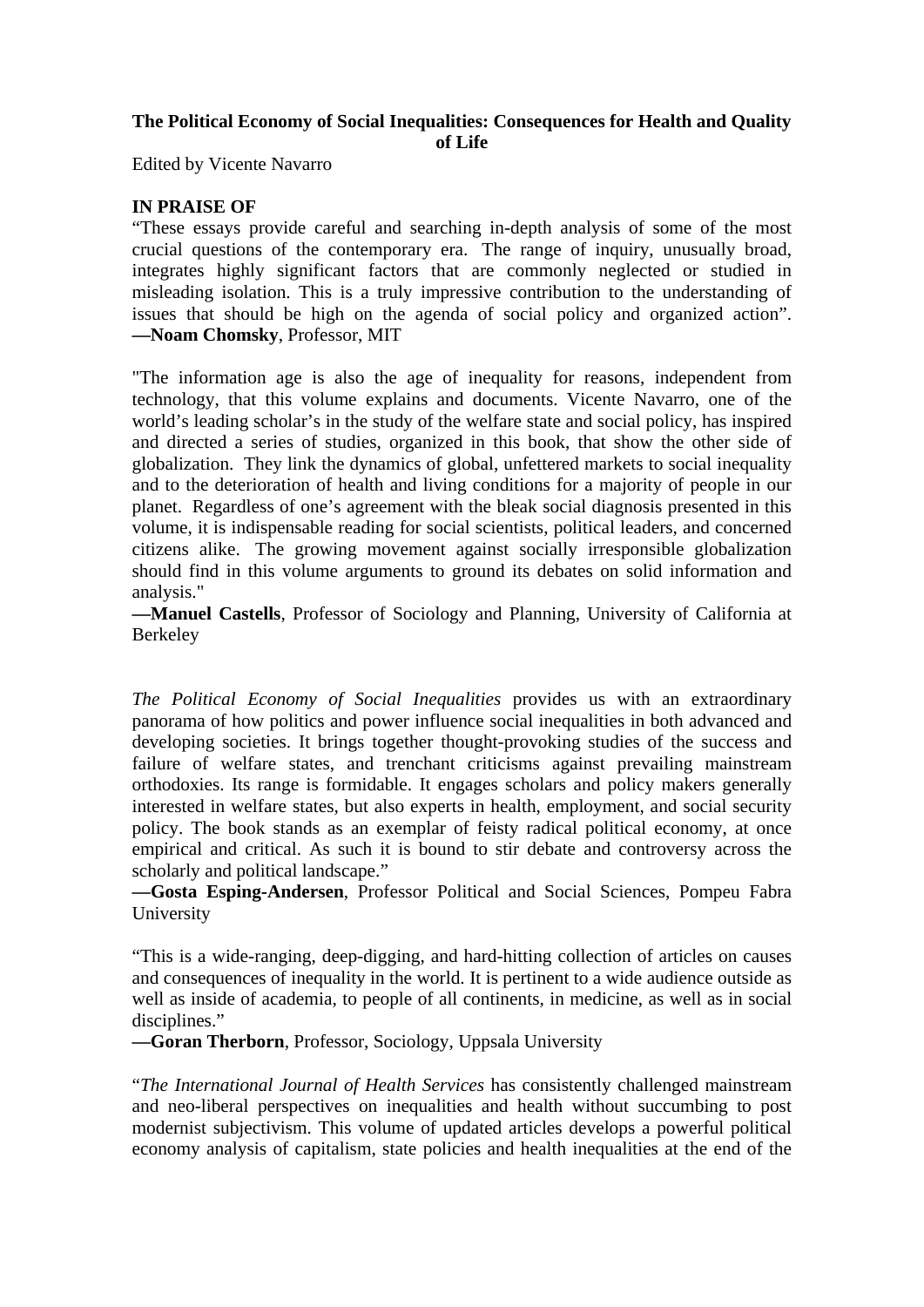## **The Political Economy of Social Inequalities: Consequences for Health and Quality of Life**

Edited by Vicente Navarro

## **IN PRAISE OF**

"These essays provide careful and searching in-depth analysis of some of the most crucial questions of the contemporary era. The range of inquiry, unusually broad, integrates highly significant factors that are commonly neglected or studied in misleading isolation. This is a truly impressive contribution to the understanding of issues that should be high on the agenda of social policy and organized action". **—Noam Chomsky**, Professor, MIT

"The information age is also the age of inequality for reasons, independent from technology, that this volume explains and documents. Vicente Navarro, one of the world's leading scholar's in the study of the welfare state and social policy, has inspired and directed a series of studies, organized in this book, that show the other side of globalization. They link the dynamics of global, unfettered markets to social inequality and to the deterioration of health and living conditions for a majority of people in our planet. Regardless of one's agreement with the bleak social diagnosis presented in this volume, it is indispensable reading for social scientists, political leaders, and concerned citizens alike. The growing movement against socially irresponsible globalization should find in this volume arguments to ground its debates on solid information and analysis."

**—Manuel Castells**, Professor of Sociology and Planning, University of California at Berkeley

*The Political Economy of Social Inequalities* provides us with an extraordinary panorama of how politics and power influence social inequalities in both advanced and developing societies. It brings together thought-provoking studies of the success and failure of welfare states, and trenchant criticisms against prevailing mainstream orthodoxies. Its range is formidable. It engages scholars and policy makers generally interested in welfare states, but also experts in health, employment, and social security policy. The book stands as an exemplar of feisty radical political economy, at once empirical and critical. As such it is bound to stir debate and controversy across the scholarly and political landscape."

**—Gosta Esping-Andersen**, Professor Political and Social Sciences, Pompeu Fabra University

"This is a wide-ranging, deep-digging, and hard-hitting collection of articles on causes and consequences of inequality in the world. It is pertinent to a wide audience outside as well as inside of academia, to people of all continents, in medicine, as well as in social disciplines."

**—Goran Therborn**, Professor, Sociology, Uppsala University

"*The International Journal of Health Services* has consistently challenged mainstream and neo-liberal perspectives on inequalities and health without succumbing to post modernist subjectivism. This volume of updated articles develops a powerful political economy analysis of capitalism, state policies and health inequalities at the end of the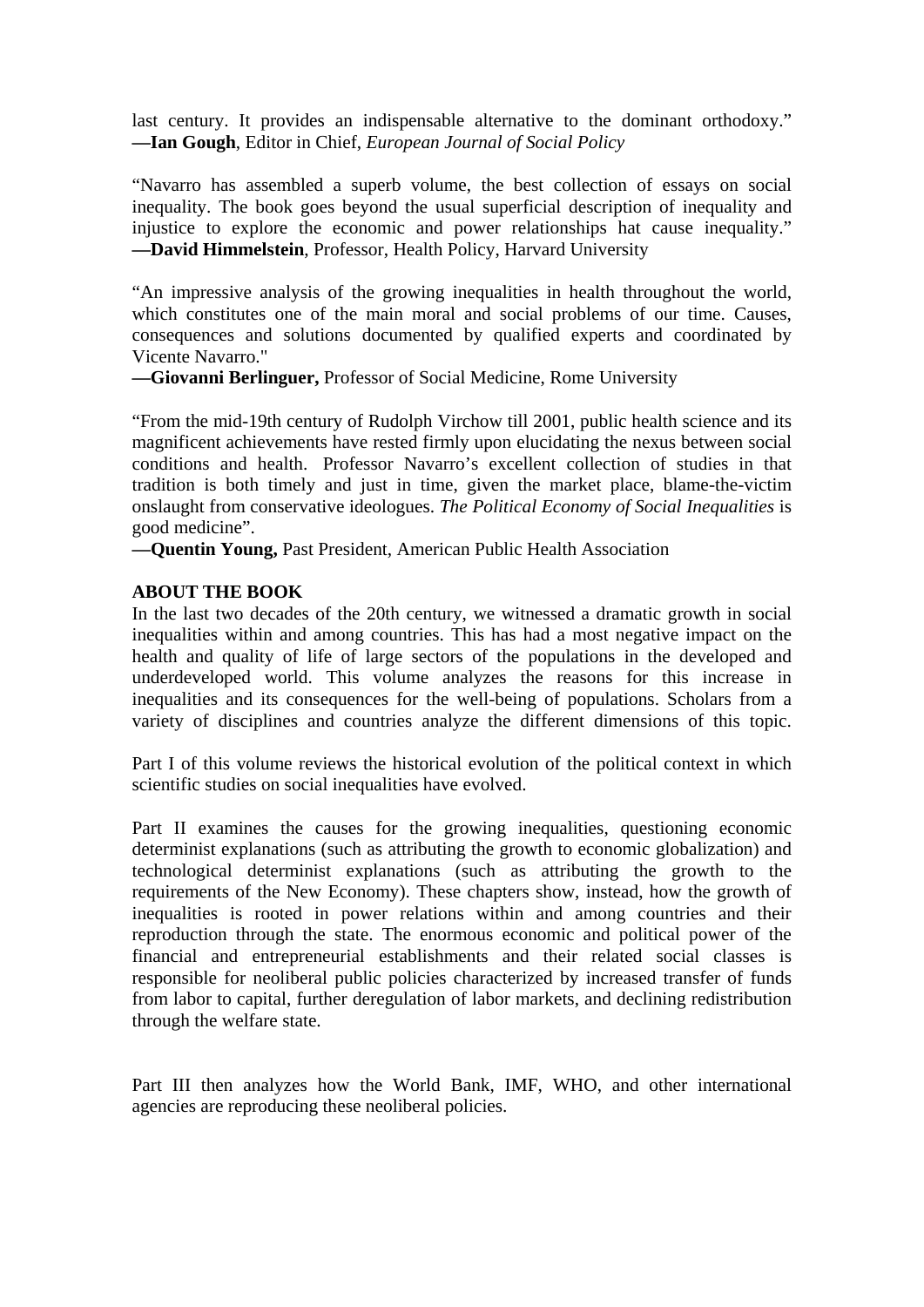last century. It provides an indispensable alternative to the dominant orthodoxy." **—Ian Gough**, Editor in Chief, *European Journal of Social Policy*

"Navarro has assembled a superb volume, the best collection of essays on social inequality. The book goes beyond the usual superficial description of inequality and injustice to explore the economic and power relationships hat cause inequality." **—David Himmelstein**, Professor, Health Policy, Harvard University

"An impressive analysis of the growing inequalities in health throughout the world, which constitutes one of the main moral and social problems of our time. Causes, consequences and solutions documented by qualified experts and coordinated by Vicente Navarro."

**—Giovanni Berlinguer,** Professor of Social Medicine, Rome University

"From the mid-19th century of Rudolph Virchow till 2001, public health science and its magnificent achievements have rested firmly upon elucidating the nexus between social conditions and health. Professor Navarro's excellent collection of studies in that tradition is both timely and just in time, given the market place, blame-the-victim onslaught from conservative ideologues. *The Political Economy of Social Inequalities* is good medicine".

**—Quentin Young,** Past President, American Public Health Association

## **ABOUT THE BOOK**

In the last two decades of the 20th century, we witnessed a dramatic growth in social inequalities within and among countries. This has had a most negative impact on the health and quality of life of large sectors of the populations in the developed and underdeveloped world. This volume analyzes the reasons for this increase in inequalities and its consequences for the well-being of populations. Scholars from a variety of disciplines and countries analyze the different dimensions of this topic.

Part I of this volume reviews the historical evolution of the political context in which scientific studies on social inequalities have evolved.

Part II examines the causes for the growing inequalities, questioning economic determinist explanations (such as attributing the growth to economic globalization) and technological determinist explanations (such as attributing the growth to the requirements of the New Economy). These chapters show, instead, how the growth of inequalities is rooted in power relations within and among countries and their reproduction through the state. The enormous economic and political power of the financial and entrepreneurial establishments and their related social classes is responsible for neoliberal public policies characterized by increased transfer of funds from labor to capital, further deregulation of labor markets, and declining redistribution through the welfare state.

Part III then analyzes how the World Bank, IMF, WHO, and other international agencies are reproducing these neoliberal policies.